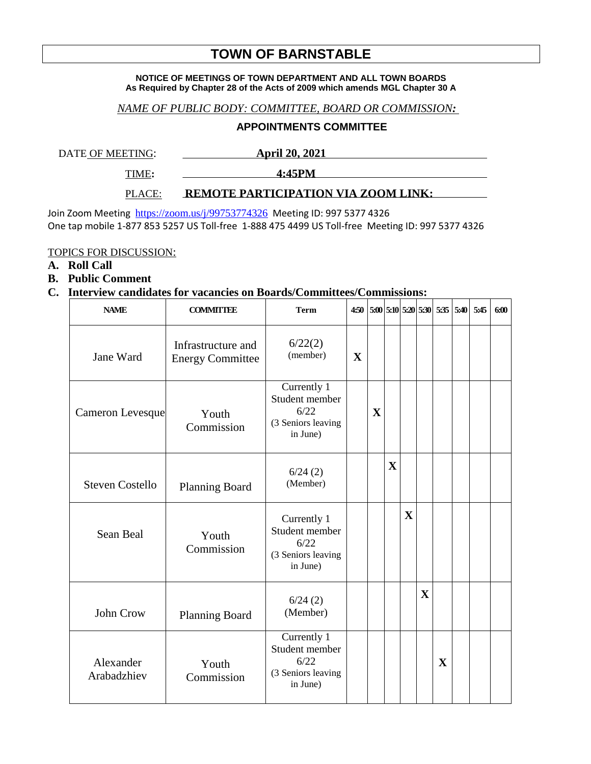# **TOWN OF BARNSTABLE**

#### **NOTICE OF MEETINGS OF TOWN DEPARTMENT AND ALL TOWN BOARDS As Required by Chapter 28 of the Acts of 2009 which amends MGL Chapter 30 A**

#### *NAME OF PUBLIC BODY: COMMITTEE, BOARD OR COMMISSION:*

### **APPOINTMENTS COMMITTEE**

DATE OF MEETING: **April 20, 2021** 

TIME**: 4:45PM** 

### PLACE: **REMOTE PARTICIPATION VIA ZOOM LINK:**

Join Zoom Meeting <https://zoom.us/j/99753774326> Meeting ID: 997 5377 4326 One tap mobile 1-877 853 5257 US Toll-free 1-888 475 4499 US Toll-free Meeting ID: 997 5377 4326

#### TOPICS FOR DISCUSSION:

# **A. Roll Call**

**B. Public Comment**

# **C. Interview candidates for vacancies on Boards/Committees/Commissions:**

| <b>NAME</b>              | <b>COMMITTEE</b>                              | <b>Term</b>                                                             | 4:50        |             |                         |              |             | 5:00 5:10 5:20 5:30 5:35 5:40 5:45 |  | 6:00 |
|--------------------------|-----------------------------------------------|-------------------------------------------------------------------------|-------------|-------------|-------------------------|--------------|-------------|------------------------------------|--|------|
| Jane Ward                | Infrastructure and<br><b>Energy Committee</b> | 6/22(2)<br>(member)                                                     | $\mathbf X$ |             |                         |              |             |                                    |  |      |
| <b>Cameron Levesque</b>  | Youth<br>Commission                           | Currently 1<br>Student member<br>6/22<br>(3 Seniors leaving<br>in June) |             | $\mathbf X$ |                         |              |             |                                    |  |      |
| <b>Steven Costello</b>   | <b>Planning Board</b>                         | 6/24(2)<br>(Member)                                                     |             |             | $\overline{\mathbf{X}}$ |              |             |                                    |  |      |
| <b>Sean Beal</b>         | Youth<br>Commission                           | Currently 1<br>Student member<br>6/22<br>(3 Seniors leaving<br>in June) |             |             |                         | $\mathbf{X}$ |             |                                    |  |      |
| John Crow                | <b>Planning Board</b>                         | 6/24(2)<br>(Member)                                                     |             |             |                         |              | $\mathbf X$ |                                    |  |      |
| Alexander<br>Arabadzhiev | Youth<br>Commission                           | Currently 1<br>Student member<br>6/22<br>(3 Seniors leaving<br>in June) |             |             |                         |              |             | $\mathbf{X}$                       |  |      |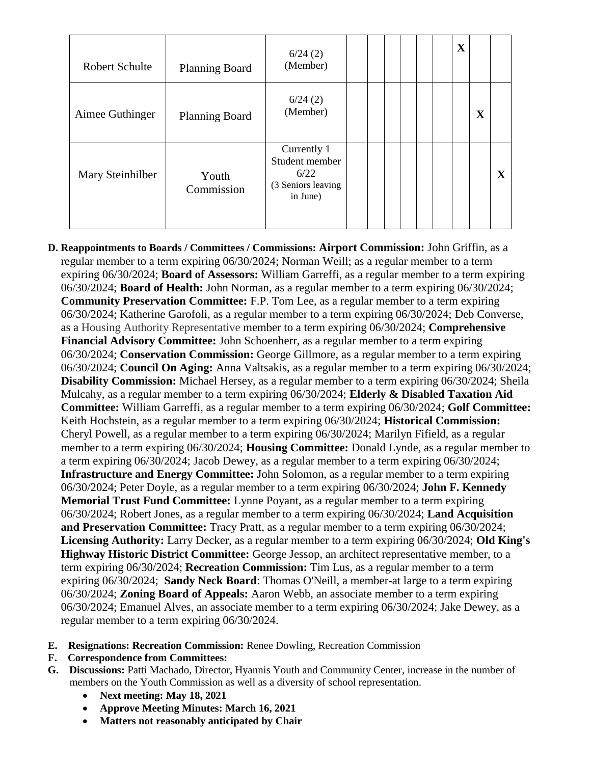| <b>Robert Schulte</b> | <b>Planning Board</b> | 6/24(2)<br>(Member)                                                     |  |  |  | $\mathbf X$ |             |   |
|-----------------------|-----------------------|-------------------------------------------------------------------------|--|--|--|-------------|-------------|---|
| Aimee Guthinger       | <b>Planning Board</b> | 6/24(2)<br>(Member)                                                     |  |  |  |             | $\mathbf X$ |   |
| Mary Steinhilber      | Youth<br>Commission   | Currently 1<br>Student member<br>6/22<br>(3 Seniors leaving<br>in June) |  |  |  |             |             | X |

- **D. Reappointments to Boards / Committees / Commissions: Airport Commission:** John Griffin, as a regular member to a term expiring 06/30/2024; Norman Weill; as a regular member to a term expiring 06/30/2024; **Board of Assessors:** William Garreffi, as a regular member to a term expiring 06/30/2024; **Board of Health:** John Norman, as a regular member to a term expiring 06/30/2024; **Community Preservation Committee:** F.P. Tom Lee, as a regular member to a term expiring 06/30/2024; Katherine Garofoli, as a regular member to a term expiring 06/30/2024; Deb Converse, as a Housing Authority Representative member to a term expiring 06/30/2024; **Comprehensive Financial Advisory Committee:** John Schoenherr, as a regular member to a term expiring 06/30/2024; **Conservation Commission:** George Gillmore, as a regular member to a term expiring 06/30/2024; **Council On Aging:** Anna Valtsakis, as a regular member to a term expiring 06/30/2024; **Disability Commission:** Michael Hersey, as a regular member to a term expiring 06/30/2024; Sheila Mulcahy, as a regular member to a term expiring 06/30/2024; **Elderly & Disabled Taxation Aid Committee:** William Garreffi, as a regular member to a term expiring 06/30/2024; **Golf Committee:** Keith Hochstein, as a regular member to a term expiring 06/30/2024; **Historical Commission:** Cheryl Powell, as a regular member to a term expiring 06/30/2024; Marilyn Fifield, as a regular member to a term expiring 06/30/2024; **Housing Committee:** Donald Lynde, as a regular member to a term expiring 06/30/2024; Jacob Dewey, as a regular member to a term expiring 06/30/2024; **Infrastructure and Energy Committee:** John Solomon, as a regular member to a term expiring 06/30/2024; Peter Doyle, as a regular member to a term expiring 06/30/2024; **John F. Kennedy Memorial Trust Fund Committee:** Lynne Poyant, as a regular member to a term expiring 06/30/2024; Robert Jones, as a regular member to a term expiring 06/30/2024; **Land Acquisition and Preservation Committee:** Tracy Pratt, as a regular member to a term expiring 06/30/2024; **Licensing Authority:** Larry Decker, as a regular member to a term expiring 06/30/2024; **Old King's Highway Historic District Committee:** George Jessop, an architect representative member, to a term expiring 06/30/2024; **Recreation Commission:** Tim Lus, as a regular member to a term expiring 06/30/2024; **Sandy Neck Board**: Thomas O'Neill, a member-at large to a term expiring 06/30/2024; **Zoning Board of Appeals:** Aaron Webb, an associate member to a term expiring 06/30/2024; Emanuel Alves, an associate member to a term expiring 06/30/2024; Jake Dewey, as a regular member to a term expiring 06/30/2024.
- **E. Resignations: Recreation Commission:** Renee Dowling, Recreation Commission
- **F. Correspondence from Committees:**
- **G. Discussions:** Patti Machado, Director, Hyannis Youth and Community Center, increase in the number of members on the Youth Commission as well as a diversity of school representation.
	- **Next meeting: May 18, 2021**
	- **Approve Meeting Minutes: March 16, 2021**
	- **Matters not reasonably anticipated by Chair**